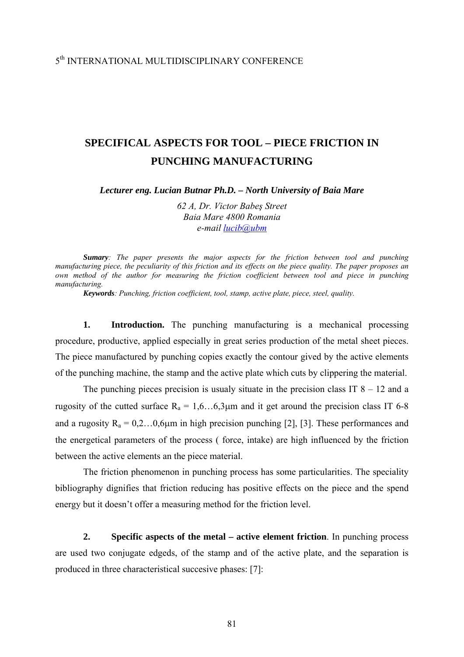## 5th INTERNATIONAL MULTIDISCIPLINARY CONFERENCE

## **SPECIFICAL ASPECTS FOR TOOL – PIECE FRICTION IN PUNCHING MANUFACTURING**

*Lecturer eng. Lucian Butnar Ph.D. – North University of Baia Mare* 

*62 A, Dr. Victor Babeş Street Baia Mare 4800 Romania e-mail [lucib@ubm](mailto:lucib@ubm)*

*Sumary: The paper presents the major aspects for the friction between tool and punching manufacturing piece, the peculiarity of this friction and its effects on the piece quality. The paper proposes an own method of the author for measuring the friction coefficient between tool and piece in punching manufacturing.* 

*Keywords: Punching, friction coefficient, tool, stamp, active plate, piece, steel, quality.* 

**1. Introduction.** The punching manufacturing is a mechanical processing procedure, productive, applied especially in great series production of the metal sheet pieces. The piece manufactured by punching copies exactly the contour gived by the active elements of the punching machine, the stamp and the active plate which cuts by clippering the material.

The punching pieces precision is usualy situate in the precision class IT  $8 - 12$  and a rugosity of the cutted surface  $R_a = 1.6...6.3\mu m$  and it get around the precision class IT 6-8 and a rugosity  $R_a = 0, 2, \ldots, 0, 6\mu$  in high precision punching [2], [3]. These performances and the energetical parameters of the process ( force, intake) are high influenced by the friction between the active elements an the piece material.

 The friction phenomenon in punching process has some particularities. The speciality bibliography dignifies that friction reducing has positive effects on the piece and the spend energy but it doesn't offer a measuring method for the friction level.

**2. Specific aspects of the metal – active element friction**. In punching process are used two conjugate edgeds, of the stamp and of the active plate, and the separation is produced in three characteristical succesive phases: [7]: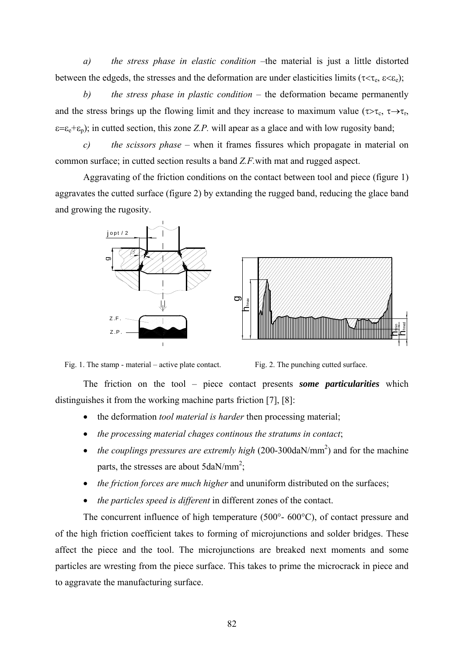*a) the stress phase in elastic condition* –the material is just a little distorted between the edgeds, the stresses and the deformation are under elasticities limits ( $\tau < \tau_e$ ,  $\epsilon < \epsilon_e$ );

*b) the stress phase in plastic condition* – the deformation became permanently and the stress brings up the flowing limit and they increase to maximum value ( $\tau > \tau_c$ ,  $\tau \rightarrow \tau_r$ ,  $\varepsilon = \varepsilon_e + \varepsilon_p$ ); in cutted section, this zone *Z.P.* will apear as a glace and with low rugosity band;

*c)**the scissors phase* – when it frames fissures which propagate in material on common surface; in cutted section results a band *Z.F.*with mat and rugged aspect.

 Aggravating of the friction conditions on the contact between tool and piece (figure 1) aggravates the cutted surface (figure 2) by extanding the rugged band, reducing the glace band and growing the rugosity.





Fig. 1. The stamp - material – active plate contact.

Fig. 2. The punching cutted surface.

The friction on the tool – piece contact presents *some particularities* which distinguishes it from the working machine parts friction [7], [8]:

- the deformation *tool material is harder* then processing material;
- *the processing material chages continous the stratums in contact*;
- *the couplings pressures are extremly high* (200-300daN/mm<sup>2</sup>) and for the machine parts, the stresses are about  $5$ daN/mm<sup>2</sup>;
- *the friction forces are much higher* and ununiform distributed on the surfaces;
- *the particles speed is different* in different zones of the contact.

 The concurrent influence of high temperature (500°- 600°C), of contact pressure and of the high friction coefficient takes to forming of microjunctions and solder bridges. These affect the piece and the tool. The microjunctions are breaked next moments and some particles are wresting from the piece surface. This takes to prime the microcrack in piece and to aggravate the manufacturing surface.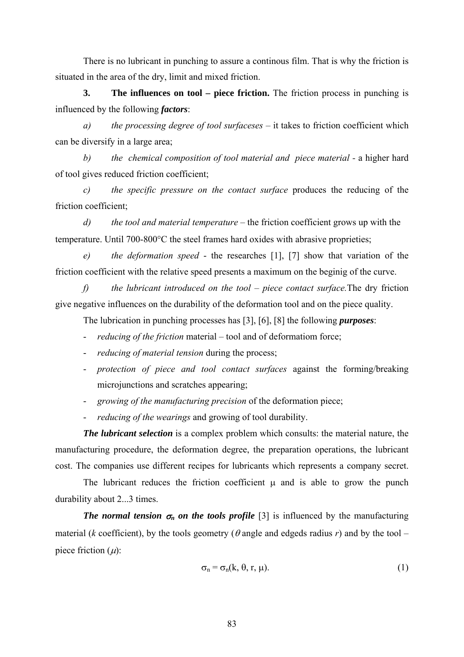There is no lubricant in punching to assure a continous film. That is why the friction is situated in the area of the dry, limit and mixed friction.

**3. The influences on tool – piece friction.** The friction process in punching is influenced by the following *factors*:

*a) the processing degree of tool surfaceses –* it takes to friction coefficient which can be diversify in a large area;

*b) the chemical composition of tool material and piece material -* a higher hard of tool gives reduced friction coefficient;

*c) the specific pressure on the contact surface* produces the reducing of the friction coefficient;

*d) the tool and material temperature –* the friction coefficient grows up with the temperature. Until 700-800°C the steel frames hard oxides with abrasive proprieties;

*e) the deformation speed* - the researches [1], [7] show that variation of the friction coefficient with the relative speed presents a maximum on the beginig of the curve.

*f) the lubricant introduced on the tool – piece contact surface.*The dry friction give negative influences on the durability of the deformation tool and on the piece quality.

The lubrication in punching processes has [3], [6], [8] the following *purposes*:

- *reducing of the friction* material tool and of deformatiom force;
- *reducing of material tension* during the process;
- *protection of piece and tool contact surfaces* against the forming/breaking microjunctions and scratches appearing;
- *growing of the manufacturing precision* of the deformation piece;
- *reducing of the wearings* and growing of tool durability.

*The lubricant selection* is a complex problem which consults: the material nature, the manufacturing procedure, the deformation degree, the preparation operations, the lubricant cost. The companies use different recipes for lubricants which represents a company secret.

 The lubricant reduces the friction coefficient μ and is able to grow the punch durability about 2...3 times.

*The normal tension*  $\sigma_n$  on the tools profile [3] is influenced by the manufacturing material (*k* coefficient), by the tools geometry ( $\theta$  angle and edgeds radius *r*) and by the tool – piece friction  $(\mu)$ :

$$
\sigma_n = \sigma_n(k, \theta, r, \mu). \tag{1}
$$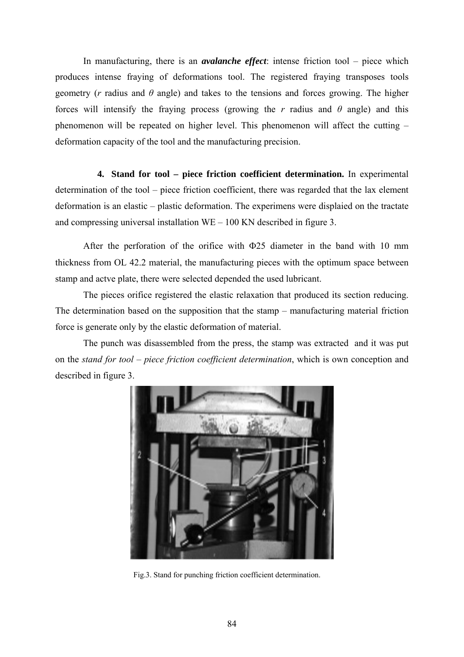In manufacturing, there is an *avalanche effect*: intense friction tool – piece which produces intense fraying of deformations tool. The registered fraying transposes tools geometry (*r* radius and *θ* angle) and takes to the tensions and forces growing. The higher forces will intensify the fraying process (growing the *r* radius and *θ* angle) and this phenomenon will be repeated on higher level. This phenomenon will affect the cutting – deformation capacity of the tool and the manufacturing precision.

**4. Stand for tool – piece friction coefficient determination.** In experimental determination of the tool – piece friction coefficient, there was regarded that the lax element deformation is an elastic – plastic deformation. The experimens were displaied on the tractate and compressing universal installation WE – 100 KN described in figure 3.

After the perforation of the orifice with Φ25 diameter in the band with 10 mm thickness from OL 42.2 material, the manufacturing pieces with the optimum space between stamp and actve plate, there were selected depended the used lubricant.

The pieces orifice registered the elastic relaxation that produced its section reducing. The determination based on the supposition that the stamp – manufacturing material friction force is generate only by the elastic deformation of material.

The punch was disassembled from the press, the stamp was extracted and it was put on the *stand for tool – piece friction coefficient determination*, which is own conception and described in figure 3.



Fig.3. Stand for punching friction coefficient determination.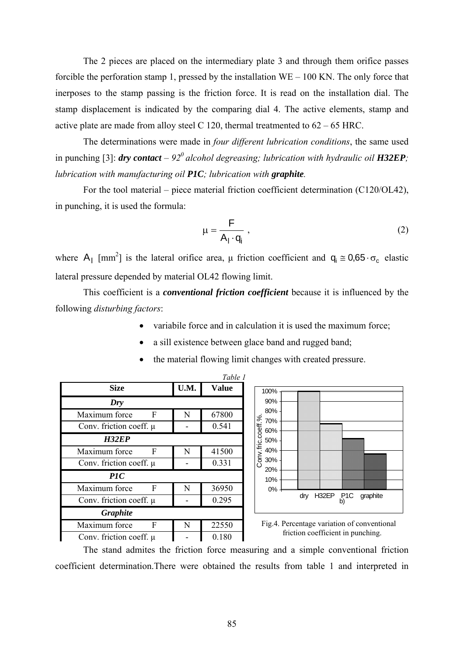The 2 pieces are placed on the intermediary plate 3 and through them orifice passes forcible the perforation stamp 1, pressed by the installation WE – 100 KN. The only force that inerposes to the stamp passing is the friction force. It is read on the installation dial. The stamp displacement is indicated by the comparing dial 4. The active elements, stamp and active plate are made from alloy steel C 120, thermal treatmented to  $62 - 65$  HRC.

The determinations were made in *four different lubrication conditions*, the same used in punching [3]: *dry contact* –  $92^\circ$  alcohol degreasing; lubrication with hydraulic oil **H32EP**; *lubrication with manufacturing oil P1C; lubrication with graphite.* 

For the tool material – piece material friction coefficient determination (C120/OL42), in punching, it is used the formula:

$$
\mu = \frac{F}{A_1 \cdot q_i} \tag{2}
$$

where  $A_1$  [mm<sup>2</sup>] is the lateral orifice area,  $\mu$  friction coefficient and  $q_i \approx 0.65 \cdot \sigma_c$  elastic lateral pressure depended by material OL42 flowing limit.

This coefficient is a *conventional friction coefficient* because it is influenced by the following *disturbing factors*:

- variabile force and in calculation it is used the maximum force;
- a sill existence between glace band and rugged band;
- the material flowing limit changes with created pressure.







The stand admites the friction force measuring and a simple conventional friction coefficient determination.There were obtained the results from table 1 and interpreted in